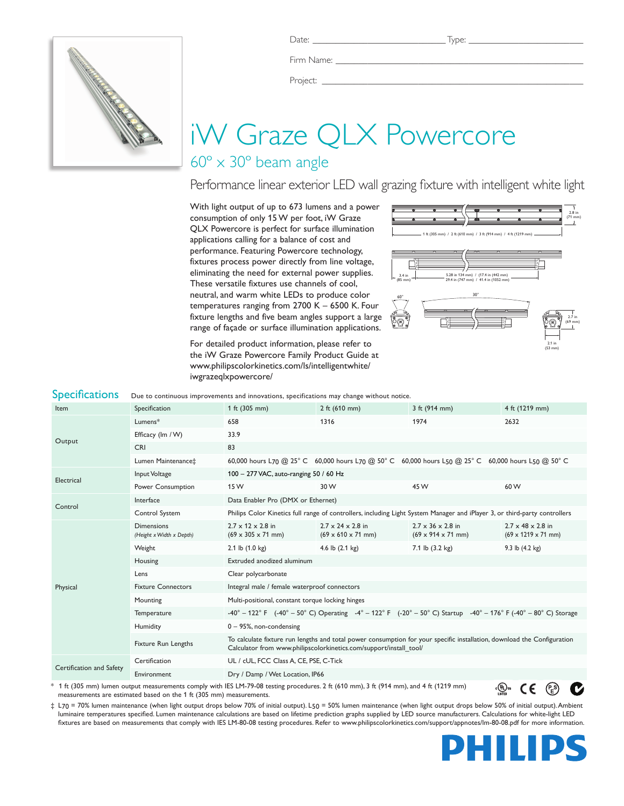

Firm Name:

Project: \_

# iW Graze QLX Powercore

## $60^\circ \times 30^\circ$  beam angle

## Performance linear exterior LED wall grazing fixture with intelligent white light

With light output of up to 673 lumens and a power consumption of only 15 W per foot, iW Graze QLX Powercore is perfect for surface illumination applications calling for a balance of cost and performance. Featuring Powercore technology, fixtures process power directly from line voltage, eliminating the need for external power supplies. These versatile fixtures use channels of cool, neutral, and warm white LEDs to produce color temperatures ranging from 2700 K – 6500 K. Four fixture lengths and five beam angles support a large range of façade or surface illumination applications.

For detailed product information, please refer to the iW Graze Powercore Family Product Guide at www.philipscolorkinetics.com/ls/intelligentwhite/ iwgrazeqlxpowercore/



| <b>Specifications</b>                                                                                                                                                                                                                                                                                                                                                                                                                                                                        | Due to continuous improvements and innovations, specifications may change without notice. |                                                                                                                                                                                               |                                                                         |                                                                                                                                                                                                                    |                                                                  |  |  |
|----------------------------------------------------------------------------------------------------------------------------------------------------------------------------------------------------------------------------------------------------------------------------------------------------------------------------------------------------------------------------------------------------------------------------------------------------------------------------------------------|-------------------------------------------------------------------------------------------|-----------------------------------------------------------------------------------------------------------------------------------------------------------------------------------------------|-------------------------------------------------------------------------|--------------------------------------------------------------------------------------------------------------------------------------------------------------------------------------------------------------------|------------------------------------------------------------------|--|--|
| Item                                                                                                                                                                                                                                                                                                                                                                                                                                                                                         | Specification                                                                             | 1 ft (305 mm)                                                                                                                                                                                 | 2 ft $(610 \, \text{mm})$                                               | 3 ft (914 mm)                                                                                                                                                                                                      | 4 ft (1219 mm)                                                   |  |  |
| Output                                                                                                                                                                                                                                                                                                                                                                                                                                                                                       | Lumens*                                                                                   | 658                                                                                                                                                                                           | 1316                                                                    | 1974                                                                                                                                                                                                               | 2632                                                             |  |  |
|                                                                                                                                                                                                                                                                                                                                                                                                                                                                                              | Efficacy (Im / W)                                                                         | 33.9                                                                                                                                                                                          |                                                                         |                                                                                                                                                                                                                    |                                                                  |  |  |
|                                                                                                                                                                                                                                                                                                                                                                                                                                                                                              | <b>CRI</b>                                                                                | 83                                                                                                                                                                                            |                                                                         |                                                                                                                                                                                                                    |                                                                  |  |  |
|                                                                                                                                                                                                                                                                                                                                                                                                                                                                                              | Lumen Maintenance‡                                                                        |                                                                                                                                                                                               |                                                                         | 60,000 hours L70 @ 25° C 60,000 hours L70 @ 50° C 60,000 hours L50 @ 25° C 60,000 hours L50 @ 50° C                                                                                                                |                                                                  |  |  |
| Electrical                                                                                                                                                                                                                                                                                                                                                                                                                                                                                   | Input Voltage                                                                             | 100 - 277 VAC, auto-ranging 50 / 60 Hz                                                                                                                                                        |                                                                         |                                                                                                                                                                                                                    |                                                                  |  |  |
|                                                                                                                                                                                                                                                                                                                                                                                                                                                                                              | Power Consumption                                                                         | 15 W                                                                                                                                                                                          | 30 W                                                                    | 45 W                                                                                                                                                                                                               | 60 W                                                             |  |  |
| Control                                                                                                                                                                                                                                                                                                                                                                                                                                                                                      | Interface                                                                                 | Data Enabler Pro (DMX or Ethernet)                                                                                                                                                            |                                                                         |                                                                                                                                                                                                                    |                                                                  |  |  |
|                                                                                                                                                                                                                                                                                                                                                                                                                                                                                              | Control System                                                                            | Philips Color Kinetics full range of controllers, including Light System Manager and iPlayer 3, or third-party controllers                                                                    |                                                                         |                                                                                                                                                                                                                    |                                                                  |  |  |
| Physical                                                                                                                                                                                                                                                                                                                                                                                                                                                                                     | <b>Dimensions</b><br>(Height x Width x Depth)                                             | $2.7 \times 12 \times 2.8$ in<br>$(69 \times 305 \times 71 \text{ mm})$                                                                                                                       | $2.7 \times 24 \times 2.8$ in<br>$(69 \times 610 \times 71 \text{ mm})$ | $2.7 \times 36 \times 2.8$ in<br>$(69 \times 914 \times 71 \text{ mm})$                                                                                                                                            | $2.7 \times 48 \times 2.8$ in<br>$(69 \times 1219 \times 71$ mm) |  |  |
|                                                                                                                                                                                                                                                                                                                                                                                                                                                                                              | Weight                                                                                    | 2.1 lb $(1.0 \text{ kg})$                                                                                                                                                                     | 4.6 lb $(2.1 \text{ kg})$                                               | 7.1 lb $(3.2 \text{ kg})$                                                                                                                                                                                          | 9.3 lb $(4.2 \text{ kg})$                                        |  |  |
|                                                                                                                                                                                                                                                                                                                                                                                                                                                                                              | Housing                                                                                   | Extruded anodized aluminum                                                                                                                                                                    |                                                                         |                                                                                                                                                                                                                    |                                                                  |  |  |
|                                                                                                                                                                                                                                                                                                                                                                                                                                                                                              | Lens                                                                                      | Clear polycarbonate                                                                                                                                                                           |                                                                         |                                                                                                                                                                                                                    |                                                                  |  |  |
|                                                                                                                                                                                                                                                                                                                                                                                                                                                                                              | <b>Fixture Connectors</b>                                                                 | Integral male / female waterproof connectors                                                                                                                                                  |                                                                         |                                                                                                                                                                                                                    |                                                                  |  |  |
|                                                                                                                                                                                                                                                                                                                                                                                                                                                                                              | Mounting                                                                                  | Multi-positional, constant torque locking hinges                                                                                                                                              |                                                                         |                                                                                                                                                                                                                    |                                                                  |  |  |
|                                                                                                                                                                                                                                                                                                                                                                                                                                                                                              | Temperature                                                                               |                                                                                                                                                                                               |                                                                         | $-40^{\circ} - 122^{\circ}$ F ( $-40^{\circ} - 50^{\circ}$ C) Operating $-4^{\circ} - 122^{\circ}$ F ( $-20^{\circ} - 50^{\circ}$ C) Startup $-40^{\circ} - 176^{\circ}$ F ( $-40^{\circ} - 80^{\circ}$ C) Storage |                                                                  |  |  |
|                                                                                                                                                                                                                                                                                                                                                                                                                                                                                              | Humidity                                                                                  | $0 - 95$ %, non-condensing                                                                                                                                                                    |                                                                         |                                                                                                                                                                                                                    |                                                                  |  |  |
|                                                                                                                                                                                                                                                                                                                                                                                                                                                                                              | <b>Fixture Run Lengths</b>                                                                | To calculate fixture run lengths and total power consumption for your specific installation, download the Configuration<br>Calculator from www.philipscolorkinetics.com/support/install_tool/ |                                                                         |                                                                                                                                                                                                                    |                                                                  |  |  |
| Certification and Safety                                                                                                                                                                                                                                                                                                                                                                                                                                                                     | Certification                                                                             | UL / cUL, FCC Class A, CE, PSE, C-Tick                                                                                                                                                        |                                                                         |                                                                                                                                                                                                                    |                                                                  |  |  |
|                                                                                                                                                                                                                                                                                                                                                                                                                                                                                              | Environment                                                                               | Dry / Damp / Wet Location, IP66                                                                                                                                                               |                                                                         |                                                                                                                                                                                                                    |                                                                  |  |  |
| * 1 ft (305 mm) lumen output measurements comply with IES LM-79-08 testing procedures. 2 ft (610 mm), 3 ft (914 mm), and 4 ft (1219 mm)<br>շ(∯յա<br>CE<br>$\mathbf{1}$ $\mathbf{1}$ $\mathbf{1}$ $\mathbf{1}$ $\mathbf{1}$ $\mathbf{1}$ $\mathbf{1}$ $\mathbf{1}$ $\mathbf{1}$ $\mathbf{1}$ $\mathbf{1}$ $\mathbf{1}$ $\mathbf{1}$ $\mathbf{1}$ $\mathbf{1}$ $\mathbf{1}$ $\mathbf{1}$ $\mathbf{1}$ $\mathbf{1}$ $\mathbf{1}$ $\mathbf{1}$ $\mathbf{1}$ $\mathbf{1}$ $\mathbf{1}$ $\mathbf{$ |                                                                                           |                                                                                                                                                                                               |                                                                         |                                                                                                                                                                                                                    |                                                                  |  |  |

\* 1 ft (305 mm) lumen output measurements comply with IES LM-79-08 testing procedures. 2 ft (610 mm), 3 ft (914 mm), and 4 ft (1219 mm) measurements are estimated based on the 1 ft (305 mm) measurements.

‡ L70 = 70% lumen maintenance (when light output drops below 70% of initial output). L50 = 50% lumen maintenance (when light output drops below 50% of initial output). Ambient luminaire temperatures specified. Lumen maintenance calculations are based on lifetime prediction graphs supplied by LED source manufacturers. Calculations for white-light LED fixtures are based on measurements that comply with IES LM-80-08 testing procedures. Refer to www.philipscolorkinetics.com/support/appnotes/lm-80-08.pdf for more information.